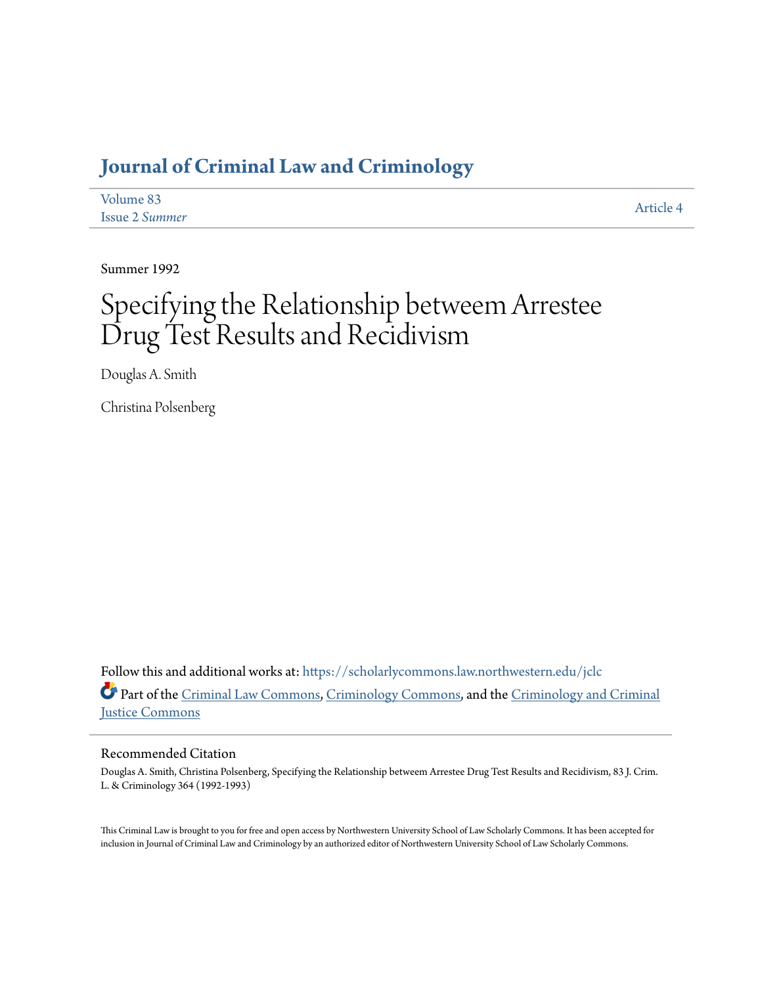# **[Journal of Criminal Law and Criminology](https://scholarlycommons.law.northwestern.edu/jclc?utm_source=scholarlycommons.law.northwestern.edu%2Fjclc%2Fvol83%2Fiss2%2F4&utm_medium=PDF&utm_campaign=PDFCoverPages)**

| Volume 83             | Article 4 |
|-----------------------|-----------|
| <b>Issue 2 Summer</b> |           |

Summer 1992

# Specifying the Relationship betweem Arrestee Drug Test Results and Recidivism

Douglas A. Smith

Christina Polsenberg

Follow this and additional works at: [https://scholarlycommons.law.northwestern.edu/jclc](https://scholarlycommons.law.northwestern.edu/jclc?utm_source=scholarlycommons.law.northwestern.edu%2Fjclc%2Fvol83%2Fiss2%2F4&utm_medium=PDF&utm_campaign=PDFCoverPages) Part of the [Criminal Law Commons](http://network.bepress.com/hgg/discipline/912?utm_source=scholarlycommons.law.northwestern.edu%2Fjclc%2Fvol83%2Fiss2%2F4&utm_medium=PDF&utm_campaign=PDFCoverPages), [Criminology Commons](http://network.bepress.com/hgg/discipline/417?utm_source=scholarlycommons.law.northwestern.edu%2Fjclc%2Fvol83%2Fiss2%2F4&utm_medium=PDF&utm_campaign=PDFCoverPages), and the [Criminology and Criminal](http://network.bepress.com/hgg/discipline/367?utm_source=scholarlycommons.law.northwestern.edu%2Fjclc%2Fvol83%2Fiss2%2F4&utm_medium=PDF&utm_campaign=PDFCoverPages) [Justice Commons](http://network.bepress.com/hgg/discipline/367?utm_source=scholarlycommons.law.northwestern.edu%2Fjclc%2Fvol83%2Fiss2%2F4&utm_medium=PDF&utm_campaign=PDFCoverPages)

#### Recommended Citation

Douglas A. Smith, Christina Polsenberg, Specifying the Relationship betweem Arrestee Drug Test Results and Recidivism, 83 J. Crim. L. & Criminology 364 (1992-1993)

This Criminal Law is brought to you for free and open access by Northwestern University School of Law Scholarly Commons. It has been accepted for inclusion in Journal of Criminal Law and Criminology by an authorized editor of Northwestern University School of Law Scholarly Commons.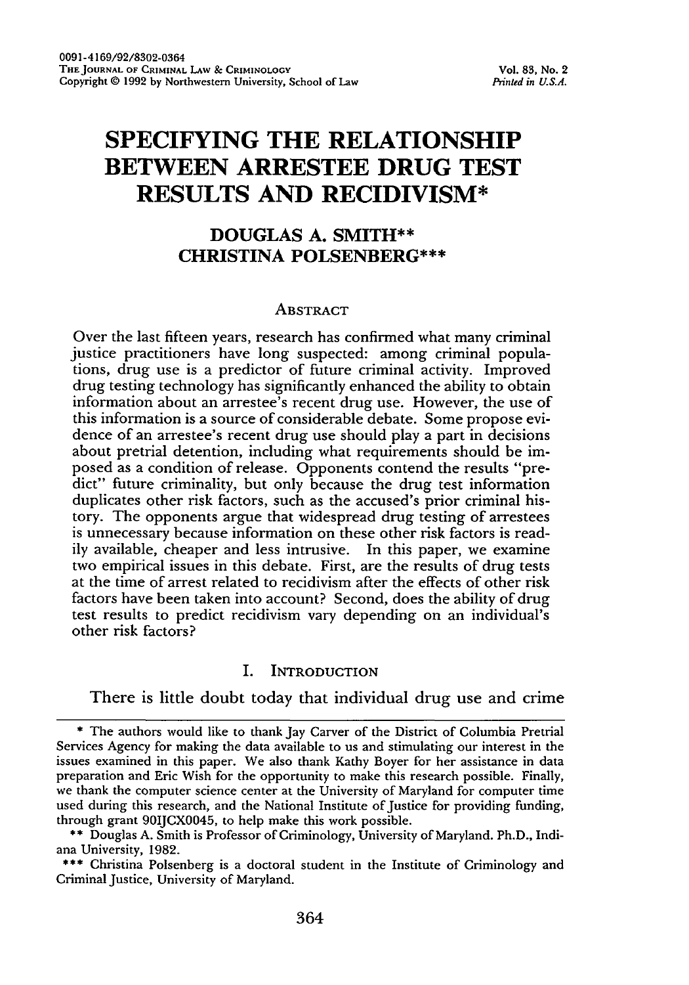# **SPECIFYING THE RELATIONSHIP BETWEEN ARRESTEE DRUG TEST RESULTS AND RECIDIVISM\***

## **DOUGLAS A. SMITH\*\* CHRISTINA POLSENBERG\*\*\***

#### ABSTRACT

Over the last fifteen years, research has confirmed what many criminal justice practitioners have long suspected: among criminal populations, drug use is a predictor of future criminal activity. Improved drug testing technology has significantly enhanced the ability to obtain information about an arrestee's recent drug use. However, the use of this information is a source of considerable debate. Some propose evidence of an arrestee's recent drug use should play a part in decisions about pretrial detention, including what requirements should be imposed as a condition of release. Opponents contend the results "predict" future criminality, but only because the drug test information duplicates other risk factors, such as the accused's prior criminal history. The opponents argue that widespread drug testing of arrestees is unnecessary because information on these other risk factors is readily available, cheaper and less intrusive. In this paper, we examine two empirical issues in this debate. First, are the results of drug tests at the time of arrest related to recidivism after the effects of other risk factors have been taken into account? Second, does the ability of drug test results to predict recidivism vary depending on an individual's other risk factors?

#### I. INTRODUCTION

There is little doubt today that individual drug use and crime

**<sup>\*</sup>** The authors would like to thank Jay Carver of the District of Columbia Pretrial Services Agency for making the data available to us and stimulating our interest in the issues examined in this paper. We also thank Kathy Boyer for her assistance in data preparation and Eric Wish for the opportunity to make this research possible. Finally, we thank the computer science center at the University of Maryland for computer time used during this research, and the National Institute of Justice for providing funding, through grant 90IJCX0045, to help make this work possible.

**<sup>\*\*</sup>** Douglas A. Smith is Professor of Criminology, University of Maryland. Ph.D., Indiana University, 1982.

**<sup>\*\*\*</sup>** Christina Polsenberg is a doctoral student in the Institute of Criminology and Criminal Justice, University of Maryland.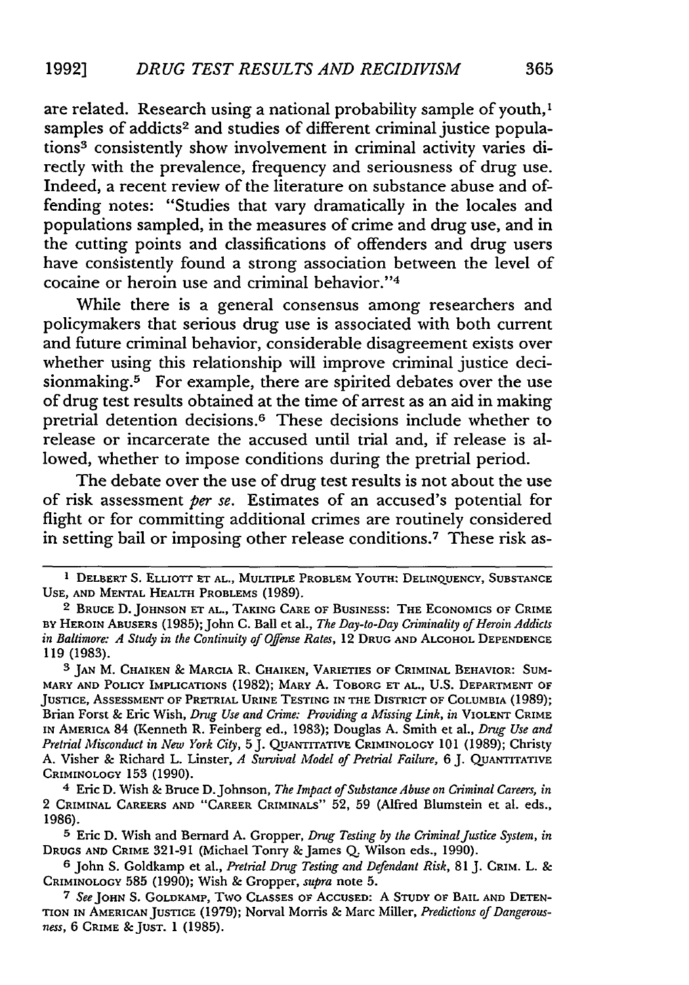are related. Research using a national probability sample of youth,' samples of addicts<sup>2</sup> and studies of different criminal justice populations3 consistently show involvement in criminal activity varies directly with the prevalence, frequency and seriousness of drug use. Indeed, a recent review of the literature on substance abuse and offending notes: "Studies that vary dramatically in the locales and populations sampled, in the measures of crime and drug use, and in the cutting points and classifications of offenders and drug users have consistently found a strong association between the level of cocaine or heroin use and criminal behavior."4

While there is a general consensus among researchers and policymakers that serious drug use is associated with both current and future criminal behavior, considerable disagreement exists over whether using this relationship will improve criminal justice decisionmaking.<sup>5</sup> For example, there are spirited debates over the use of drug test results obtained at the time of arrest as an aid in making pretrial detention decisions. 6 These decisions include whether to release or incarcerate the accused until trial and, if release is allowed, whether to impose conditions during the pretrial period.

The debate over the use of drug test results is not about the use of risk assessment *per se.* Estimates of an accused's potential for flight or for committing additional crimes are routinely considered in setting bail or imposing other release conditions.<sup>7</sup> These risk as-

**<sup>1</sup> DELBERT** S. **ELLIOTT ET AL., MULTIPLE** PROBLEM YOUTH: **DELINQUENCY, SUBSTANCE USE, AND MENTAL** HEALTH **PROBLEMS** (1989).

<sup>2</sup> **BRUCE D. JOHNSON ET AL.,** TAKING **CARE** OF **BUSINESS: THE** ECONOMICS OF **CRIME** BY HEROIN ABUSERS (1985); John C. Ball et al., *The Day-to-Day Criminality of Heroin Addicts in Baltimore: A Study in the Continuity of Offense Rates,* 12 **DRUG AND ALCOHOL DEPENDENCE** 119 (1983).

**<sup>3</sup> JAN** M. **CHAIKEN** & MARCIA R. CHAIKEN, VARIETIES OF CRIMINAL BEHAVIOR: **SUM-**MARY **AND** POLICY **IMPLICATIONS** (1982); MARY A. TOBORG **ET AL.,** U.S. DEPARTMENT OF **JUSTICE,** ASSESSMENT OF PRETRIAL **URINE TESTING** IN THE DISTRICT OF **COLUMBIA** (1989); **Brian Forst** & Eric Wish, *Drug Use and Crime: Providing a Missing Link, in* **VIOLENT CRIME IN** AMERICA 84 (Kenneth R. Feinberg ed., 1983); Douglas A. Smith et al., *Drug Use and Pretrial Misconduct in New York City,* 5 J. QUANTITATIVE CRIMINOLOGY 101 (1989); Christy A. Visher & Richard L. Linster, *A Survival Model of Pretrial Failure, 6* J. **QUANTITATIVE** CRIMINOLOGY 153 (1990).

<sup>4</sup> Eric D. Wish & Bruce D. Johnson, *The Impact of Substance Abuse on Criminal Careers, in* 2 CRIMINAL CAREERS **AND** "CAREER **CRIMINALS"** 52, **59** (Alfred Blumstein et al. eds., 1986).

**<sup>5</sup>** Eric D. Wish and Bernard A. Gropper, *Drug Testing by the Criminal Justice System, in* **DRUGS AND** CRIME 321-91 (Michael Tonry & James Q. Wilson eds., 1990).

**<sup>6</sup>** John S. Goldkamp et al., *Pretrial Drug Testing and Defendant Risk,* 81 J. CRIM. L. & CRIMINOLOGY **585** (1990); Wish & Gropper, *supra* note **5.**

**<sup>7</sup>** *See JOHN* **S. GOLDKAMP,** Two **CLASSES OF ACCUSED:** A **STUDY** OF BAIL **AND DETEN-TION IN** AMERICAN **JUSTICE** (1979); Norval Morris & Marc Miller, *Predictions of Dangerousness,* **6** CRIME **&JUST.** 1 **(1985).**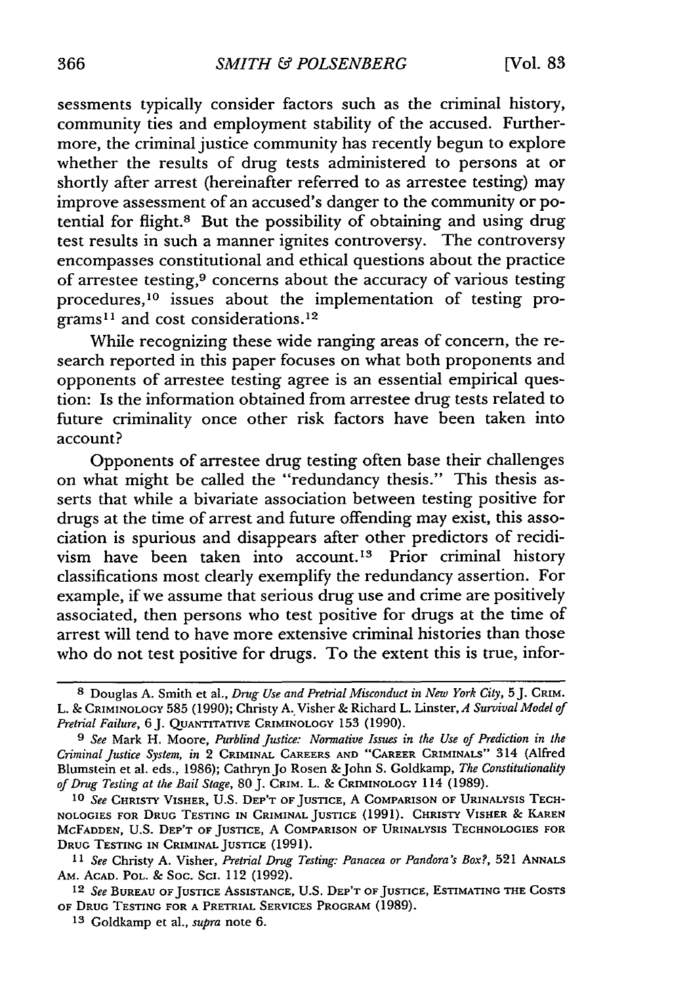sessments typically consider factors such as the criminal history, community ties and employment stability of the accused. Furthermore, the criminal justice community has recently begun to explore whether the results of drug tests administered to persons at or shortly after arrest (hereinafter referred to as arrestee testing) may improve assessment of an accused's danger to the community or potential for flight.<sup>8</sup> But the possibility of obtaining and using drug test results in such a manner ignites controversy. The controversy encompasses constitutional and ethical questions about the practice of arrestee testing,9 concerns about the accuracy of various testing procedures, 10 issues about the implementation of testing programs<sup>11</sup> and cost considerations.<sup>12</sup>

While recognizing these wide ranging areas of concern, the research reported in this paper focuses on what both proponents and opponents of arrestee testing agree is an essential empirical question: Is the information obtained from arrestee drug tests related to future criminality once other risk factors have been taken into account?

Opponents of arrestee drug testing often base their challenges on what might be called the "redundancy thesis." This thesis asserts that while a bivariate association between testing positive for drugs at the time of arrest and future offending may exist, this association is spurious and disappears after other predictors of recidivism have been taken into account. 13 Prior criminal history classifications most clearly exemplify the redundancy assertion. For example, if we assume that serious drug use and crime are positively associated, then persons who test positive for drugs at the time of arrest will tend to have more extensive criminal histories than those who do not test positive for drugs. To the extent this is true, infor-

**<sup>8</sup>** Douglas A. Smith et al., *Drug Use and Pretrial Misconduct in New York City,* 5 J. CRIM. L. & CRIMINOLOGY 585 (1990); Christy A. Visher & Richard L. Linster, *A Survival Model of Pretrial Failure,* 6J. **QUANTITATIVE** CRIMINOLOGY 153 (1990).

*<sup>9</sup> See* Mark H. Moore, *Purblind Justice: Normative Issues in the Use of Prediction in the Criminal Justice System, in* 2 CRIMINAL CAREERS **AND** "CAREER CRIMINALS" 314 (Alfred Blumstein et al. eds., 1986); CathrynJo Rosen &John S. Goldkamp, *The Constitutionality of Drug Testing at the Bail Stage,* 80 J. **CRIM.** L. & CRIMINOLOGY 114 (1989).

*<sup>10</sup> See* CHRISTY **VISHER, U.S. DEP'T OF** JUSTICE, A COMPARISON **OF URINALYSIS TECH-NOLOGIES FOR DRUG TESTING IN** CRIMINAL **JUSTICE (1991).** CHRISTY VISHER & KAREN **MCFADDEN, U.S. DEP'T OF JUSTICE, A COMPARISON OF URINALYSIS TECHNOLOGIES FOR DRUG TESTING IN CRIMINALJUSTICE (1991).**

**<sup>11</sup>***See* Christy A. Visher, *Pretrial Drug Testing: Panacea or Pandora's Box?,* 521 **ANNALS AM. ACAD. POL.** & **SOC. SCI.** 112 (1992).

<sup>12</sup> *See* **BUREAU OF JUSTICE ASSISTANCE, U.S. DEP'T OFJUSTICE, ESTIMATING THE COSTS OF DRUG TESTING FOR A PRETRIAL SERVICES PROGRAM (1989).**

**<sup>13</sup>** Goldkamp et al., *supra* **note 6.**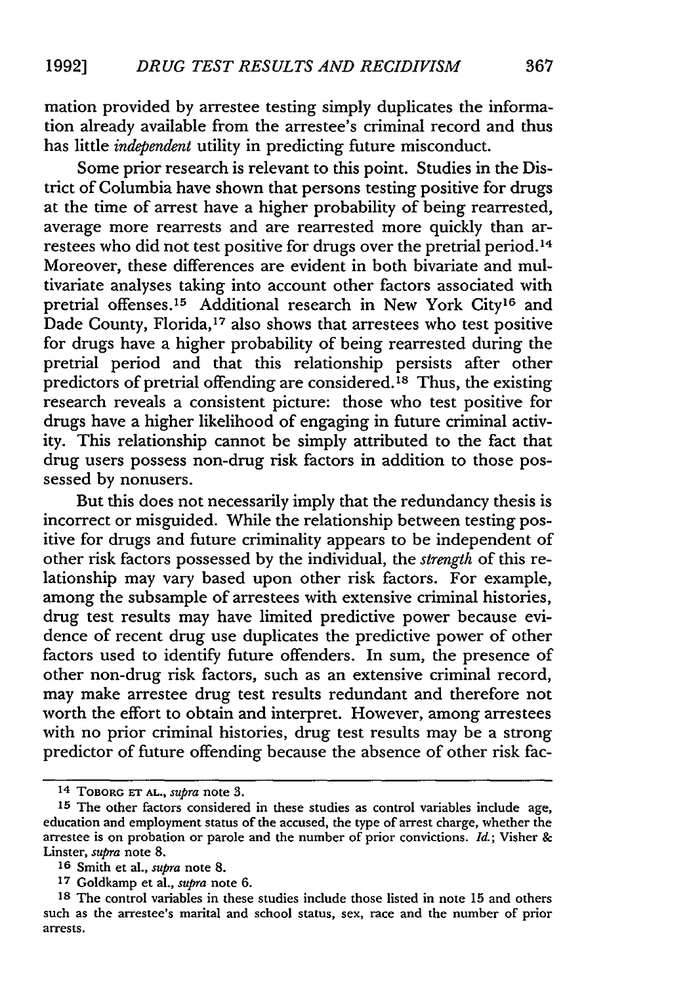mation provided by arrestee testing simply duplicates the information already available from the arrestee's criminal record and thus has little *independent* utility in predicting future misconduct.

Some prior research is relevant to this point. Studies in the District of Columbia have shown that persons testing positive for drugs at the time of arrest have a higher probability of being rearrested, average more rearrests and are rearrested more quickly than arrestees who did not test positive for drugs over the pretrial period. <sup>14</sup> Moreover, these differences are evident in both bivariate and multivariate analyses taking into account other factors associated with pretrial offenses.<sup>15</sup> Additional research in New York City<sup>16</sup> and Dade County, Florida,<sup>17</sup> also shows that arrestees who test positive for drugs have a higher probability of being rearrested during the pretrial period and that this relationship persists after other predictors of pretrial offending are considered.18 Thus, the existing research reveals a consistent picture: those who test positive for drugs have a higher likelihood of engaging in future criminal activity. This relationship cannot be simply attributed to the fact that drug users possess non-drug risk factors in addition to those possessed by nonusers.

But this does not necessarily imply that the redundancy thesis is incorrect or misguided. While the relationship between testing positive for drugs and future criminality appears to be independent of other risk factors possessed by the individual, the *strength* of this relationship may vary based upon other risk factors. For example, among the subsample of arrestees with extensive criminal histories, drug test results may have limited predictive power because evidence of recent drug use duplicates the predictive power of other factors used to identify future offenders. In sum, the presence of other non-drug risk factors, such as an extensive criminal record, may make arrestee drug test results redundant and therefore not worth the effort to obtain and interpret. However, among arrestees with no prior criminal histories, drug test results may be a strong predictor of future offending because the absence of other risk fac-

<sup>14</sup> **TOBORG ET AL.,** *supra* note **3.**

**<sup>15</sup>** The other factors considered in these studies as control variables include age, education and employment status of the accused, the type of arrest charge, whether the arrestee is on probation or parole and the number of prior convictions. *Id.;* Visher **&** Linster, *supra* note 8.

**<sup>16</sup>** Smith et al., *supra* note 8.

**<sup>17</sup>** Goldkamp et al., *supra* note 6.

**<sup>18</sup>** The control variables in these studies include those listed in note **15** and others such as the arrestee's marital and school status, sex, race and the number of prior arrests.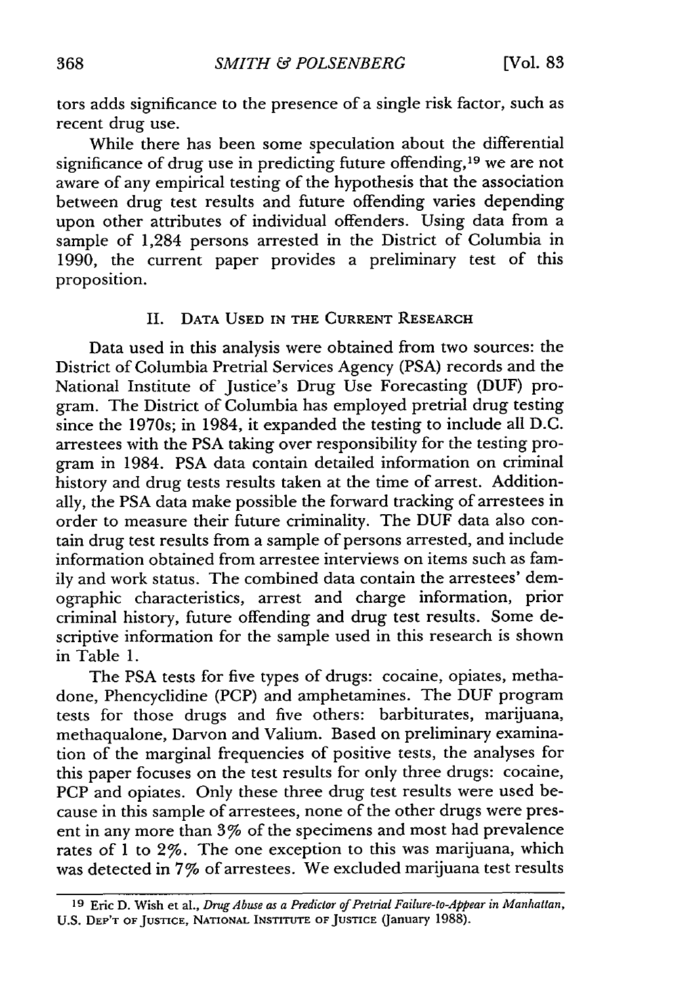tors adds significance to the presence of a single risk factor, such as recent drug use.

While there has been some speculation about the differential significance of drug use in predicting future offending,<sup>19</sup> we are not aware of any empirical testing of the hypothesis that the association between drug test results and future offending varies depending upon other attributes of individual offenders. Using data from a sample of 1,284 persons arrested in the District of Columbia in 1990, the current paper provides a preliminary test of this proposition.

#### II. **DATA USED** IN THE CURRENT RESEARCH

Data used in this analysis were obtained from two sources: the District of Columbia Pretrial Services Agency (PSA) records and the National Institute of Justice's Drug Use Forecasting (DUF) program. The District of Columbia has employed pretrial drug testing since the 1970s; in 1984, it expanded the testing to include all D.C. arrestees with the PSA taking over responsibility for the testing program in 1984. PSA data contain detailed information on criminal history and drug tests results taken at the time of arrest. Additionally, the PSA data make possible the forward tracking of arrestees in order to measure their future criminality. The DUF data also contain drug test results from a sample of persons arrested, and include information obtained from arrestee interviews on items such as family and work status. The combined data contain the arrestees' demographic characteristics, arrest and charge information, prior criminal history, future offending and drug test results. Some descriptive information for the sample used in this research is shown in Table 1.

The PSA tests for five types of drugs: cocaine, opiates, methadone, Phencyclidine (PCP) and amphetamines. The **DUF** program tests for those drugs and five others: barbiturates, marijuana, methaqualone, Darvon and Valium. Based on preliminary examination of the marginal frequencies of positive tests, the analyses for this paper focuses on the test results for only three drugs: cocaine, PCP and opiates. Only these three drug test results were used because in this sample of arrestees, none of the other drugs were present in any more than 3% of the specimens and most had prevalence rates of 1 to 2%. The one exception to this was marijuana, which was detected in 7% of arrestees. We excluded marijuana test results

**<sup>19</sup>** Eric **D.** Wish et al., *Drug Abuse as a Predictor of Pretrial Failure-to-Appear in Manhattan,* **U.S.** DEP'T **OFJUSTICE,** NATIONAL **INSTITUTE OFJUSTICE** (January **1988).**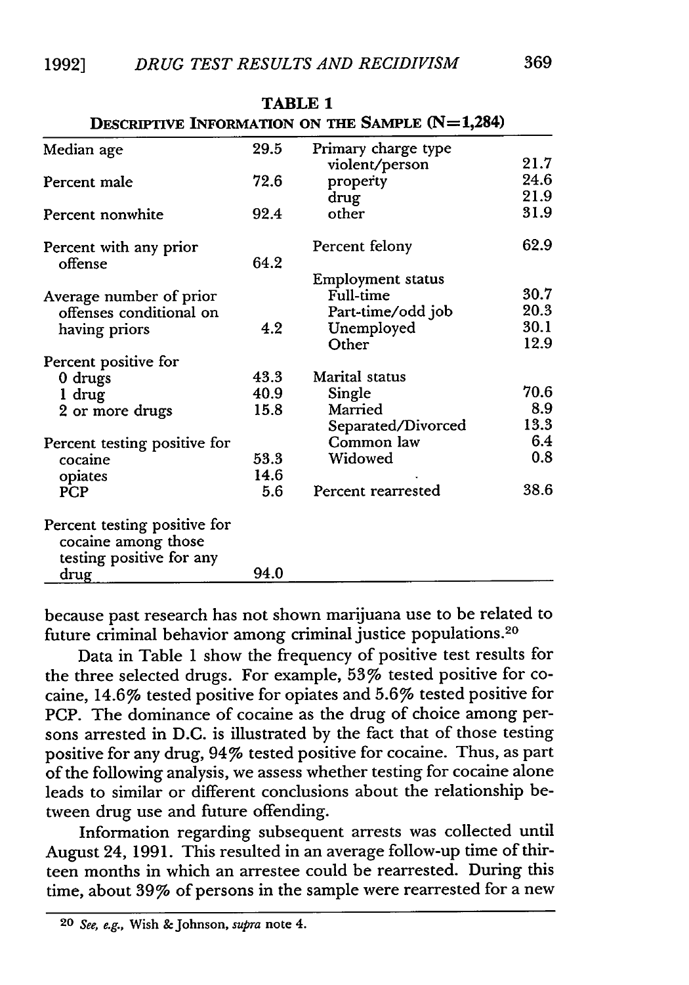| <b>DESCRIPTIVE INFORMATION ON THE SAMPLE (N=1,284)</b> |      |                     |      |  |  |
|--------------------------------------------------------|------|---------------------|------|--|--|
| Median age                                             | 29.5 | Primary charge type |      |  |  |
|                                                        |      | violent/person      | 21.7 |  |  |
| Percent male                                           | 72.6 | property            | 24.6 |  |  |
|                                                        |      | drug                | 21.9 |  |  |
| Percent nonwhite                                       | 92.4 | other               | 31.9 |  |  |
| Percent with any prior                                 |      | Percent felony      | 62.9 |  |  |
| offense                                                | 64.2 |                     |      |  |  |
|                                                        |      | Employment status   |      |  |  |
| Average number of prior                                |      | Full-time           | 30.7 |  |  |
| offenses conditional on                                |      | Part-time/odd job   | 20.3 |  |  |
| having priors                                          | 4.2  | Unemployed          | 30.1 |  |  |
|                                                        |      | Other               | 12.9 |  |  |
| Percent positive for                                   |      |                     |      |  |  |
| 0 drugs                                                | 43.3 | Marital status      |      |  |  |
| 1 drug                                                 | 40.9 | Single              | 70.6 |  |  |
| 2 or more drugs                                        | 15.8 | Married             | 8.9  |  |  |
|                                                        |      | Separated/Divorced  | 13.3 |  |  |
| Percent testing positive for                           |      | Common law          | 6.4  |  |  |
| cocaine                                                | 53.3 | Widowed             | 0.8  |  |  |
| opiates                                                | 14.6 |                     |      |  |  |
| PCP                                                    | 5.6  | Percent rearrested  | 38.6 |  |  |
| Percent testing positive for                           |      |                     |      |  |  |
| cocaine among those                                    |      |                     |      |  |  |
| testing positive for any                               |      |                     |      |  |  |
| drug                                                   | 94.0 |                     |      |  |  |

TABLE **1**

because past research has not shown marijuana use to be related to future criminal behavior among criminal justice populations. <sup>20</sup>

Data in Table 1 show the frequency of positive test results for the three selected drugs. For example, 53% tested positive for cocaine, 14.6% tested positive for opiates and 5.6% tested positive for PCP. The dominance of cocaine as the drug of choice among persons arrested in D.C. is illustrated by the fact that of those testing positive for any drug, 94% tested positive for cocaine. Thus, as part of the following analysis, we assess whether testing for cocaine alone leads to similar or different conclusions about the relationship between drug use and future offending.

Information regarding subsequent arrests was collected until August 24, 1991. This resulted in an average follow-up time of thirteen months in which an arrestee could be rearrested. During this time, about 39% of persons in the sample were rearrested for a new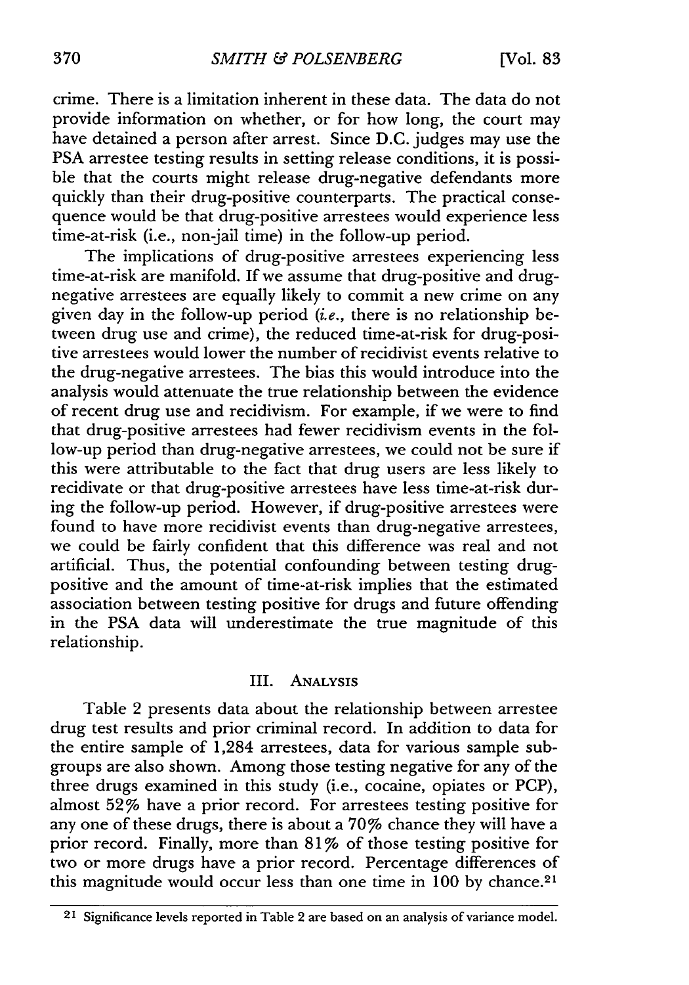crime. There is a limitation inherent in these data. The data do not provide information on whether, or for how long, the court may have detained a person after arrest. Since D.C. judges may use the PSA arrestee testing results in setting release conditions, it is possible that the courts might release drug-negative defendants more quickly than their drug-positive counterparts. The practical consequence would be that drug-positive arrestees would experience less time-at-risk (i.e., non-jail time) in the follow-up period.

The implications of drug-positive arrestees experiencing less time-at-risk are manifold. If we assume that drug-positive and drugnegative arrestees are equally likely to commit a new crime on any given day in the follow-up period *(i.e.,* there is no relationship between drug use and crime), the reduced time-at-risk for drug-positive arrestees would lower the number of recidivist events relative to the drug-negative arrestees. The bias this would introduce into the analysis would attenuate the true relationship between the evidence of recent drug use and recidivism. For example, if we were to find that drug-positive arrestees had fewer recidivism events in the follow-up period than drug-negative arrestees, we could not be sure if this were attributable to the fact that drug users are less likely to recidivate or that drug-positive arrestees have less time-at-risk during the follow-up period. However, if drug-positive arrestees were found to have more recidivist events than drug-negative arrestees, we could be fairly confident that this difference was real and not artificial. Thus, the potential confounding between testing drugpositive and the amount of time-at-risk implies that the estimated association between testing positive for drugs and future offending in the PSA data will underestimate the true magnitude of this relationship.

#### III. ANALYSIS

Table 2 presents data about the relationship between arrestee drug test results and prior criminal record. In addition to data for the entire sample of 1,284 arrestees, data for various sample subgroups are also shown. Among those testing negative for any of the three drugs examined in this study (i.e., cocaine, opiates or PCP), almost 52% have a prior record. For arrestees testing positive for any one of these drugs, there is about a 70% chance they will have a prior record. Finally, more than 81% of those testing positive for two or more drugs have a prior record. Percentage differences of this magnitude would occur less than one time in **100 by** chance. <sup>21</sup>

**<sup>21</sup>** Significance levels reported in Table 2 are based on an analysis of variance model.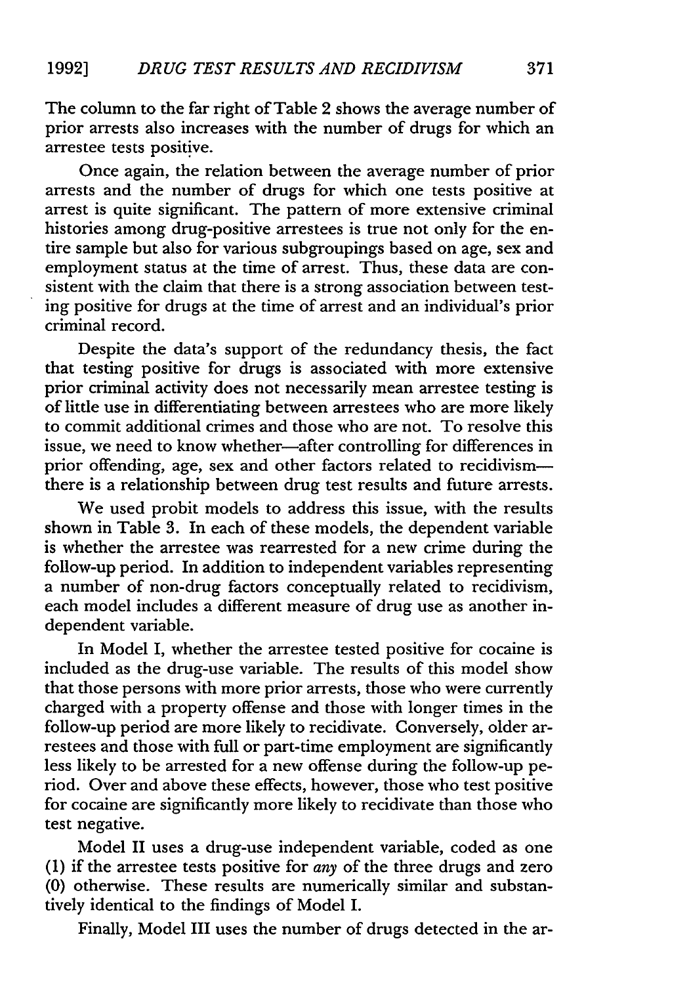The column to the far right of Table 2 shows the average number of prior arrests also increases with the number of drugs for which an arrestee tests positive.

Once again, the relation between the average number of prior arrests and the number of drugs for which one tests positive at arrest is quite significant. The pattern of more extensive criminal histories among drug-positive arrestees is true not only for the entire sample but also for various subgroupings based on age, sex and employment status at the time of arrest. Thus, these data are consistent with the claim that there is a strong association between testing positive for drugs at the time of arrest and an individual's prior criminal record.

Despite the data's support of the redundancy thesis, the fact that testing positive for drugs is associated with more extensive prior criminal activity does not necessarily mean arrestee testing is of little use in differentiating between arrestees who are more likely to commit additional crimes and those who are not. To resolve this issue, we need to know whether-after controlling for differences in prior offending, age, sex and other factors related to recidivismthere is a relationship between drug test results and future arrests.

We used probit models to address this issue, with the results shown in Table 3. In each of these models, the dependent variable is whether the arrestee was rearrested for a new crime during the follow-up period. In addition to independent variables representing a number of non-drug factors conceptually related to recidivism, each model includes a different measure of drug use as another independent variable.

In Model I, whether the arrestee tested positive for cocaine is included as the drug-use variable. The results of this model show that those persons with more prior arrests, those who were currently charged with a property offense and those with longer times in the follow-up period are more likely to recidivate. Conversely, older arrestees and those with full or part-time employment are significantly less likely to be arrested for a new offense during the follow-up period. Over and above these effects, however, those who test positive for cocaine are significantly more likely to recidivate than those who test negative.

Model II uses a drug-use independent variable, coded as one (1) if the arrestee tests positive for *any* of the three drugs and zero (0) otherwise. These results are numerically similar and substantively identical to the findings of Model I.

Finally, Model III uses the number of drugs detected in the ar-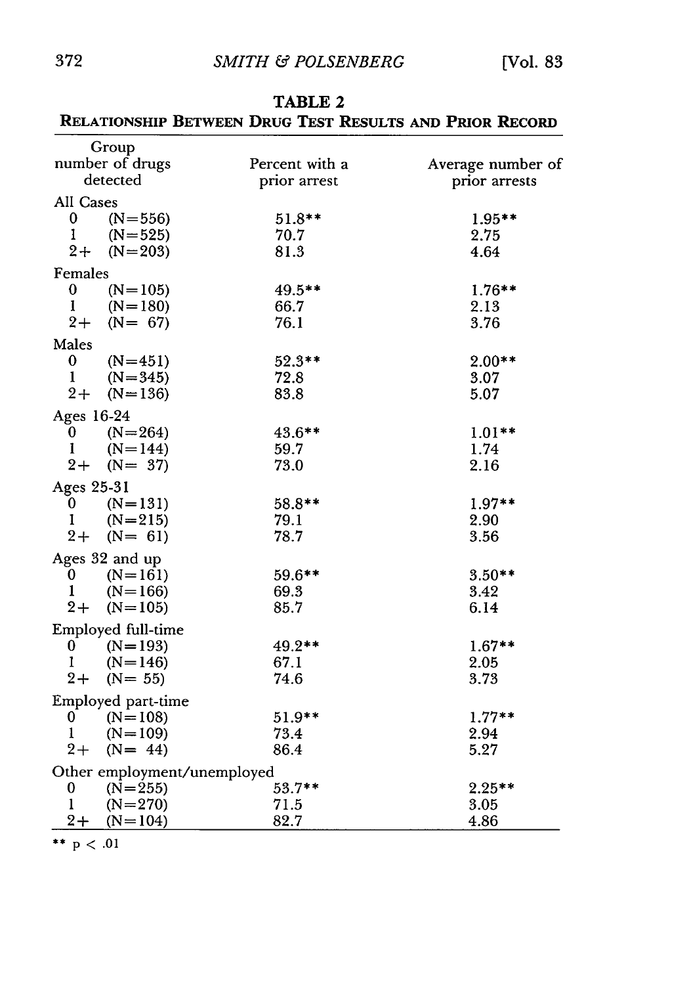## *SMITH & POLSENBERG*

| Group                                         |                |                   |
|-----------------------------------------------|----------------|-------------------|
| number of drugs                               | Percent with a | Average number of |
| detected                                      | prior arrest   | prior arrests     |
| All Cases                                     |                |                   |
| $0 (N=556)$                                   | $51.8**$       | $1.95**$          |
| $\bf{l}$<br>$(N=525)$                         | 70.7           | 2.75              |
| $2+$ (N=203)                                  | 81.3           | 4.64              |
| Females                                       |                |                   |
| $\pmb{0}$<br>$(N=105)$                        | 49.5**         | $1.76**$          |
| $1 (N=180)$                                   | 66.7           | 2.13              |
| $2+$ (N= 67)                                  | 76.1           | 3.76              |
| Males                                         |                |                   |
| 0<br>$(N=451)$                                | $52.3**$       | $2.00**$          |
| $\mathbf{1}$<br>$(N = 345)$                   | 72.8           | 3.07              |
| $(N=136)$<br>$2+$                             | 83.8           | 5.07              |
| Ages 16-24                                    |                |                   |
| $0 \qquad (N=264)$                            | 43.6**         | $1.01**$          |
| 1<br>$(N=144)$                                | 59.7           | 1.74              |
| $2+$ (N= 37)                                  | 73.0           | 2.16              |
| Ages 25-31                                    |                |                   |
| $(N=131)$<br>0                                | 58.8**         | $1.97**$          |
| 1<br>$(N=215)$                                | 79.1           | 2.90              |
| $2+$ (N = 61)                                 | 78.7           | 3.56              |
| Ages 32 and up                                |                |                   |
| 0<br>$(N=161)$                                | 59.6**         | $3.50**$          |
| $(N=166)$<br>1                                | 69.3           | 3.42              |
| $2+$ (N=105)                                  | 85.7           | 6.14              |
| Employed full-time                            |                |                   |
| $(N=193)$<br>0                                | 49.2 **        | $1.67**$          |
| 1<br>$(N=146)$                                | 67.1           | 2.05              |
| $2+$ (N= 55)                                  | 74.6           | 3.73              |
| Employed part-time                            |                |                   |
| $(N=108)$<br>0                                | $51.9**$       | $1.77**$          |
| 1<br>$(N=109)$                                | 73.4           | 2.94              |
| $2+$ (N= 44)                                  | 86.4           | 5.27              |
|                                               |                |                   |
| Other employment/unemployed<br>0<br>$(N=255)$ | $53.7**$       | $2.25**$          |
| 1<br>$(N=270)$                                | 71.5           | 3.05              |
| $2+$<br>$(N=104)$                             | 82.7           | 4.86              |
|                                               |                |                   |

## TABLE 2

## **RELATIONSHIP BETWEEN DRUG TEST RESULTS AND PRIOR RECORD**

\*\*  $p < .01$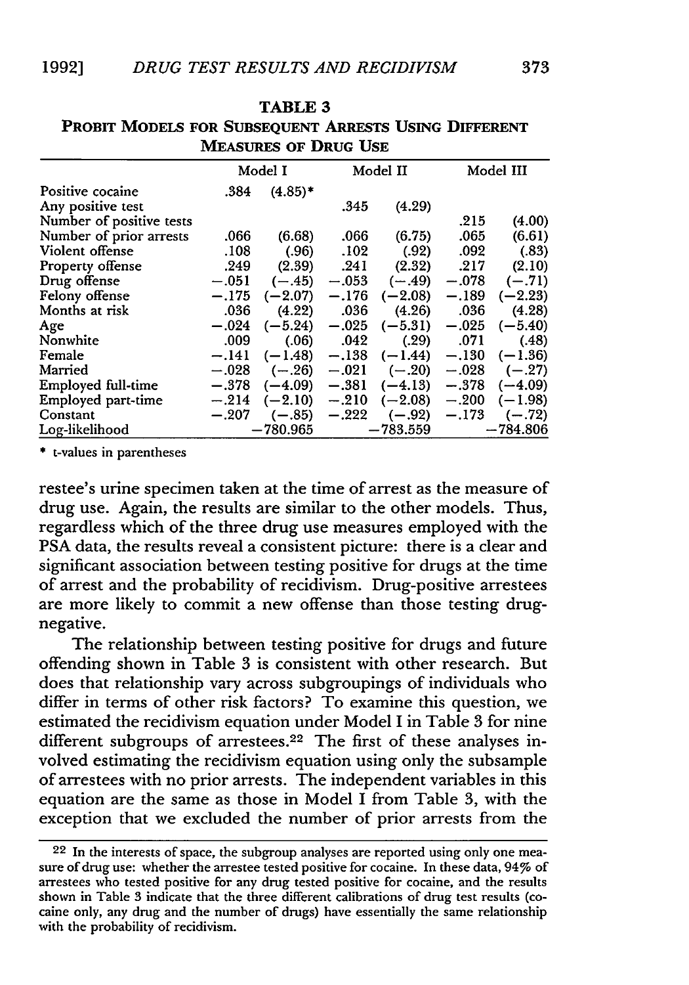| <b>MEASURES OF DRUG USE</b> |         |                       |                  |                       |                |                       |
|-----------------------------|---------|-----------------------|------------------|-----------------------|----------------|-----------------------|
|                             | Model I |                       | Model II         |                       | Model III      |                       |
| Positive cocaine            | .384    | $(4.85)^*$            |                  |                       |                |                       |
| Any positive test           |         |                       | .345             | (4.29)                |                |                       |
| Number of positive tests    |         |                       |                  |                       | .215           | (4.00)                |
| Number of prior arrests     | .066    | (6.68)                | .066             | (6.75)                | .065           | (6.61)                |
| Violent offense             | .108    | (.96)                 | .102             | (.92)                 | .092           | (.83)                 |
| Property offense            | .249    | (2.39)                | .241             | (2.32)                | .217           | (2.10)                |
| Drug offense                | $-.051$ | $(-.45)$              | $-.053$          | $(-.49)$              | $-.078$        | $(-.71)$              |
| Felony offense              |         | $-.175 \quad (-2.07)$ |                  | $-.176 \quad (-2.08)$ | $-.189$        | $(-2.23)$             |
| Months at risk              | .036    | (4.22)                |                  | $.036$ $(4.26)$       | .036           | (4.28)                |
| Age                         | $-.024$ | $(-5.24)$             |                  | $-.025 \quad (-5.31)$ | $-.025$        | $(-5.40)$             |
| Nonwhite                    | .009    |                       | $(0.06)$ $0.042$ |                       | $(.29)$ $.071$ | (.48)                 |
| Female                      | $-.141$ | $(-1.48)$             |                  | $-.138 \quad (-1.44)$ | $-.130$        | $(-1.36)$             |
| Married                     | $-.028$ | $(-.26)$              |                  | $-.021$ $(-.20)$      |                | $-.028$ $(-.27)$      |
| Employed full-time          |         | $-.378 \quad (-4.09)$ |                  | $-.381 \quad (-4.13)$ |                | $-.378 \quad (-4.09)$ |
| Employed part-time          |         | $-.214 \quad (-2.10)$ |                  | $-.210 \quad (-2.08)$ |                | $-.200 \quad (-1.98)$ |
| Constant                    | $-.207$ | $(-.85)$              |                  | $-.222$ $(-.92)$      |                | $-.173$ $(-.72)$      |
| Log-likelihood              |         | $-780.965$            |                  | $-783.559$            |                | $-784.806$            |

# TABLE 3 PROBIT **MODELS** FOR **SUBSEQUENT** ARRESTS **USING** DIFFERENT

\* t-values in parentheses

restee's urine specimen taken at the time of arrest as the measure of drug use. Again, the results are similar to the other models. Thus, regardless which of the three drug use measures employed with the **PSA** data, the results reveal a consistent picture: there is a clear and significant association between testing positive for drugs at the time of arrest and the probability of recidivism. Drug-positive arrestees are more likely to commit a new offense than those testing drugnegative.

The relationship between testing positive for drugs and future offending shown in Table **3** is consistent with other research. But does that relationship vary across subgroupings of individuals who differ in terms of other risk factors? To examine this question, we estimated the recidivism equation under Model I in Table 3 for nine different subgroups of arrestees.<sup>22</sup> The first of these analyses involved estimating the recidivism equation using only the subsample of arrestees with no prior arrests. The independent variables in this equation are the same as those in Model I from Table **3,** with the exception that we excluded the number of prior arrests from the

<sup>22</sup> In the interests of space, the subgroup analyses are reported using only one measure of drug use: whether the arrestee tested positive for cocaine. In these data, 94% of arrestees who tested positive for any drug tested positive for cocaine, and the results shown in Table **3** indicate that the three different calibrations of drug test results (cocaine only, any drug and the number of drugs) have essentially the same relationship with the probability of recidivism.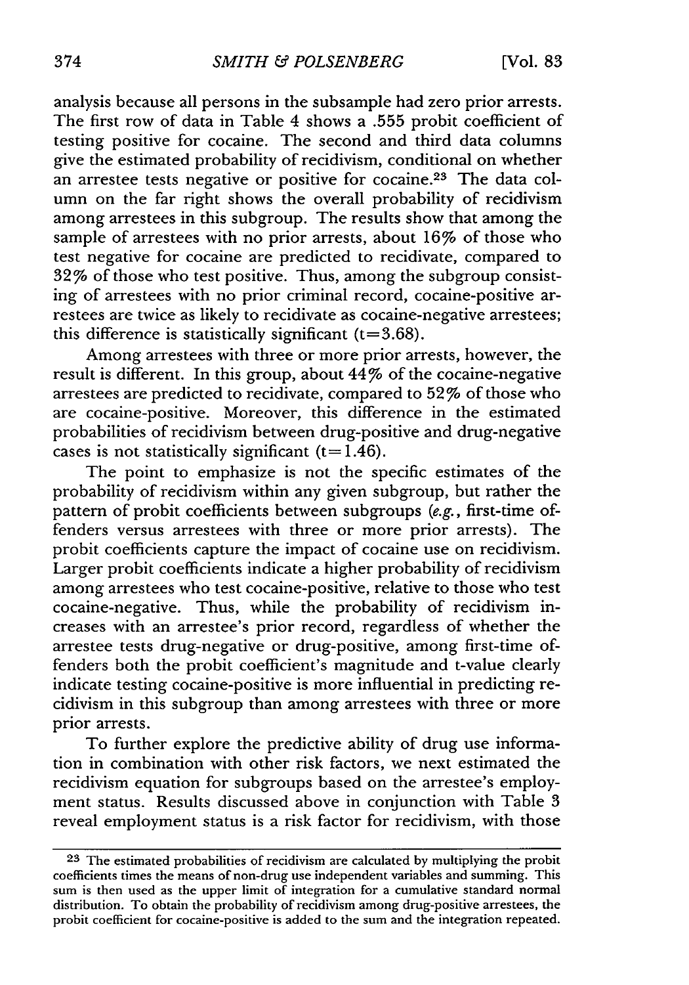analysis because all persons in the subsample had zero prior arrests. The first row of data in Table 4 shows a .555 probit coefficient of testing positive for cocaine. The second and third data columns give the estimated probability of recidivism, conditional on whether an arrestee tests negative or positive for cocaine.<sup>23</sup> The data column on the far right shows the overall probability of recidivism among arrestees in this subgroup. The results show that among the sample of arrestees with no prior arrests, about 16% of those who test negative for cocaine are predicted to recidivate, compared to 32% of those who test positive. Thus, among the subgroup consisting of arrestees with no prior criminal record, cocaine-positive arrestees are twice as likely to recidivate as cocaine-negative arrestees; this difference is statistically significant  $(t=3.68)$ .

Among arrestees with three or more prior arrests, however, the result is different. In this group, about 44% of the cocaine-negative arrestees are predicted to recidivate, compared to 52% of those who are cocaine-positive. Moreover, this difference in the estimated probabilities of recidivism between drug-positive and drug-negative cases is not statistically significant  $(t=1.46)$ .

The point to emphasize is not the specific estimates of the probability of recidivism within any given subgroup, but rather the pattern of probit coefficients between subgroups (e.g., first-time offenders versus arrestees with three or more prior arrests). The probit coefficients capture the impact of cocaine use on recidivism. Larger probit coefficients indicate a higher probability of recidivism among arrestees who test cocaine-positive, relative to those who test cocaine-negative. Thus, while the probability of recidivism increases with an arrestee's prior record, regardless of whether the arrestee tests drug-negative or drug-positive, among first-time offenders both the probit coefficient's magnitude and t-value clearly indicate testing cocaine-positive is more influential in predicting recidivism in this subgroup than among arrestees with three or more prior arrests.

To further explore the predictive ability of drug use information in combination with other risk factors, we next estimated the recidivism equation for subgroups based on the arrestee's employment status. Results discussed above in conjunction with Table 3 reveal employment status is a risk factor for recidivism, with those

**<sup>23</sup>** The estimated probabilities of recidivism are calculated by multiplying the probit coefficients times the means of non-drug use independent variables and summing. This sum is then used as the upper limit of integration for a cumulative standard normal distribution. To obtain the probability of recidivism among drug-positive arrestees, the probit coefficient for cocaine-positive is added to the sum and the integration repeated.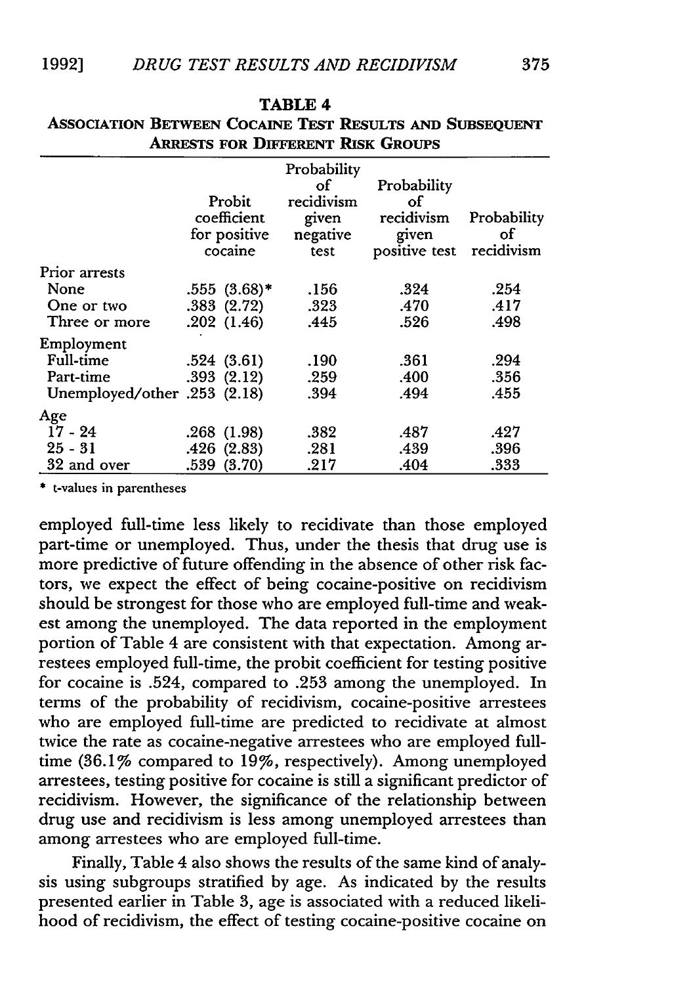|                              | Probit<br>coefficient<br>for positive<br>cocaine | Probability<br>of<br>recidivism<br>given<br>negative<br>test | Probability<br>οf<br>recidivism<br>given<br>positive test | Probability<br>of<br>recidivism |
|------------------------------|--------------------------------------------------|--------------------------------------------------------------|-----------------------------------------------------------|---------------------------------|
| Prior arrests                |                                                  |                                                              |                                                           |                                 |
| None                         | $.555(3.68)$ *                                   | .156                                                         | .324                                                      | .254                            |
| One or two                   | .383(2.72)                                       | .323                                                         | .470                                                      | .417                            |
| Three or more                | .202(1.46)                                       | .445                                                         | .526                                                      | .498                            |
| Employment                   |                                                  |                                                              |                                                           |                                 |
| Full-time                    | .524(3.61)                                       | .190                                                         | .361                                                      | .294                            |
| Part-time                    | .393(2.12)                                       | .259                                                         | .400                                                      | .356                            |
| Unemployed/other .253 (2.18) |                                                  | .394                                                         | .494                                                      | .455                            |
| Age                          |                                                  |                                                              |                                                           |                                 |
| $17 - 24$                    | .268(1.98)                                       | .382                                                         | .487                                                      | .427                            |
| $25 - 31$                    | .426(2.83)                                       | .281                                                         | .439                                                      | .396                            |
| 32 and over                  | .539(3.70)                                       | .217                                                         | .404                                                      | .333                            |

#### **TABLE 4 ASSOCIATION BETWEEN COCAINE TEST RESULTS AND SUBSEQUENT ARRESTS FOR DiFFERENT RISK GROUPS**

\* t-values in parentheses

employed full-time less likely to recidivate than those employed part-time or unemployed. Thus, under the thesis that drug use is more predictive of future offending in the absence of other risk factors, we expect the effect of being cocaine-positive on recidivism should be strongest for those who are employed full-time and weakest among the unemployed. The data reported in the employment portion of Table 4 are consistent with that expectation. Among arrestees employed full-time, the probit coefficient for testing positive for cocaine is .524, compared to .253 among the unemployed. In terms of the probability of recidivism, cocaine-positive arrestees who are employed full-time are predicted to recidivate at almost twice the rate as cocaine-negative arrestees who are employed fulltime (36.1% compared to 19%, respectively). Among unemployed arrestees, testing positive for cocaine is still a significant predictor of recidivism. However, the significance of the relationship between drug use and recidivism is less among unemployed arrestees than among arrestees who are employed full-time.

Finally, Table 4 also shows the results of the same kind of analysis using subgroups stratified by age. As indicated by the results presented earlier in Table 3, age is associated with a reduced likelihood of recidivism, the effect of testing cocaine-positive cocaine on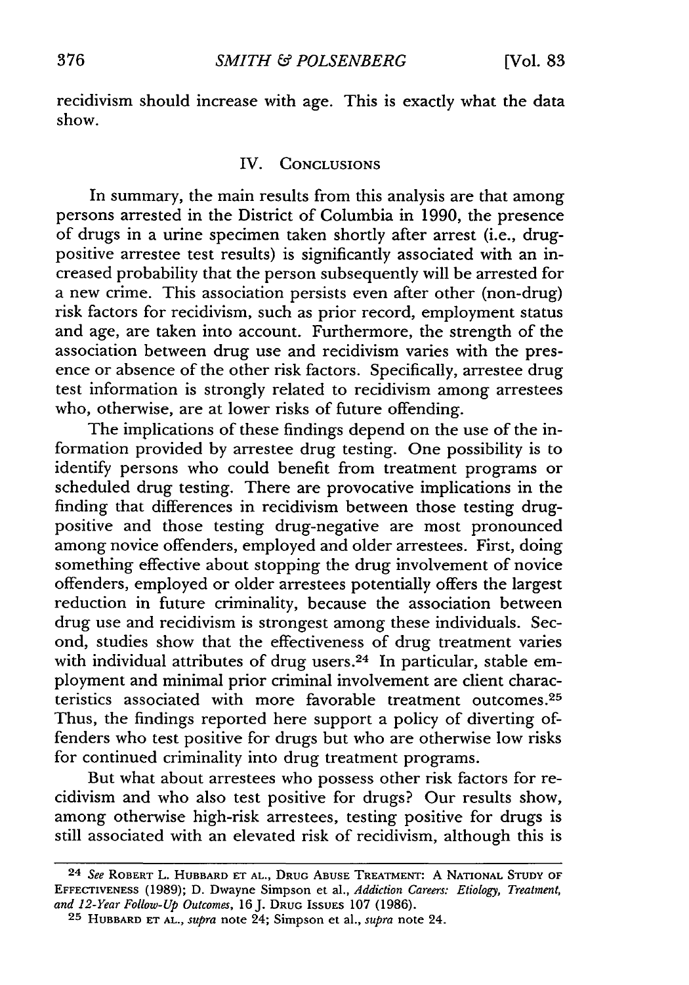recidivism should increase with age. This is exactly what the data show.

#### IV. CONCLUSIONS

In summary, the main results from this analysis are that among persons arrested in the District of Columbia in 1990, the presence of drugs in a urine specimen taken shortly after arrest (i.e., drugpositive arrestee test results) is significantly associated with an increased probability that the person subsequently will be arrested for a new crime. This association persists even after other (non-drug) risk factors for recidivism, such as prior record, employment status and age, are taken into account. Furthermore, the strength of the association between drug use and recidivism varies with the presence or absence of the other risk factors. Specifically, arrestee drug test information is strongly related to recidivism among arrestees who, otherwise, are at lower risks of future offending.

The implications of these findings depend on the use of the information provided by arrestee drug testing. One possibility is to identify persons who could benefit from treatment programs or scheduled drug testing. There are provocative implications in the finding that differences in recidivism between those testing drugpositive and those testing drug-negative are most pronounced among novice offenders, employed and older arrestees. First, doing something effective about stopping the drug involvement of novice offenders, employed or older arrestees potentially offers the largest reduction in future criminality, because the association between drug use and recidivism is strongest among these individuals. Second, studies show that the effectiveness of drug treatment varies with individual attributes of drug users.<sup>24</sup> In particular, stable employment and minimal prior criminal involvement are client characteristics associated with more favorable treatment outcomes.<sup>25</sup> Thus, the findings reported here support a policy of diverting offenders who test positive for drugs but who are otherwise low risks for continued criminality into drug treatment programs.

But what about arrestees who possess other risk factors for recidivism and who also test positive for drugs? Our results show, among otherwise high-risk arrestees, testing positive for drugs is still associated with an elevated risk of recidivism, although this is

<sup>24</sup> *See* ROBERT L. HUBBARD **ET AL., DRUG ABUSE** TREATMENT: A NATIONAL **STUDY** OF **EFFECTIVENESS** (1989); D. Dwayne Simpson et al., *Addiction Careers: Etiology, Treatment, and 12-Year Follow-Up Outcomes, 16J.* **DRUG ISSUES** 107 (1986).

**<sup>25</sup>** HUBBARD **ET AL.,** *supra* note 24; Simpson et al., *supra* note 24.